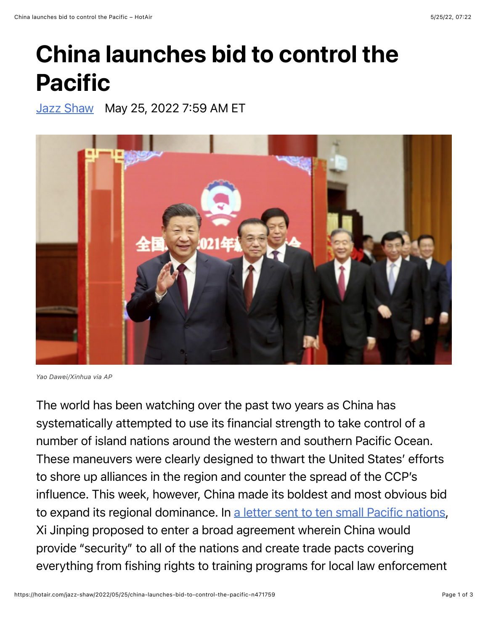## China launches bid to control the Pacific

[Jazz Shaw](https://hotair.com/author/jazz-shaw) May 25, 2022 7:59 AM ET



*Yao Dawei/Xinhua via AP*

The world has been watching over the past two years as China has systematically attempted to use its financial strength to take control of a number of island nations around the western and southern Pacific Ocean. These maneuvers were clearly designed to thwart the United States' efforts to shore up alliances in the region and counter the spread of the CCP's influence. This week, however, China made its boldest and most obvious bid to expand its regional dominance. In [a letter sent to ten small Pacific nations,](https://apnews.com/article/wang-yi-beijing-china-new-zealand-96f78c97071116055ebc3e7c216a0ef8) Xi Jinping proposed to enter a broad agreement wherein China would provide "security" to all of the nations and create trade pacts covering everything from fishing rights to training programs for local law enforcement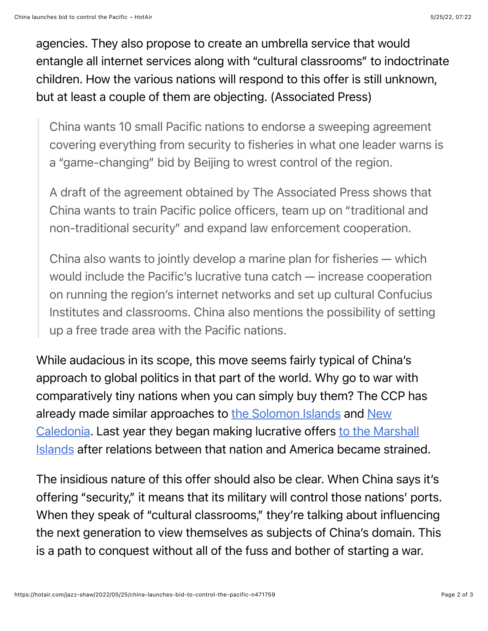agencies. They also propose to create an umbrella service that would entangle all internet services along with "cultural classrooms" to indoctrinate children. How the various nations will respond to this offer is still unknown, but at least a couple of them are objecting. (Associated Press)

China wants 10 small Pacific nations to endorse a sweeping agreement covering everything from security to fisheries in what one leader warns is a "game-changing" bid by Beijing to wrest control of the region.

A draft of the agreement obtained by The Associated Press shows that China wants to train Pacific police officers, team up on "traditional and non-traditional security" and expand law enforcement cooperation.

China also wants to jointly develop a marine plan for fisheries — which would include the Pacific's lucrative tuna catch — increase cooperation on running the region's internet networks and set up cultural Confucius Institutes and classrooms. China also mentions the possibility of setting up a free trade area with the Pacific nations.

While audacious in its scope, this move seems fairly typical of China's approach to global politics in that part of the world. Why go to war with comparatively tiny nations when you can simply buy them? The CCP has already made similar approaches to [the Solomon Islands](https://hotair.com/jazz-shaw/2022/04/25/china-moves-toward-control-of-solomon-islands-n464606) and New [Caledonia. Last year they began making lucrative offers to the Ma](https://hotair.com/jazz-shaw/2021/12/11/new-caledonia-considers-breaking-away-from-france-toward-china-n434744)[rshall](https://hotair.com/jazz-shaw/2021/11/28/now-were-fighting-with-the-marshall-islands-n431713) Islands after relations between that nation and America became strained.

The insidious nature of this offer should also be clear. When China says it's offering "security," it means that its military will control those nations' ports. When they speak of "cultural classrooms," they're talking about influencing the next generation to view themselves as subjects of China's domain. This is a path to conquest without all of the fuss and bother of starting a war.